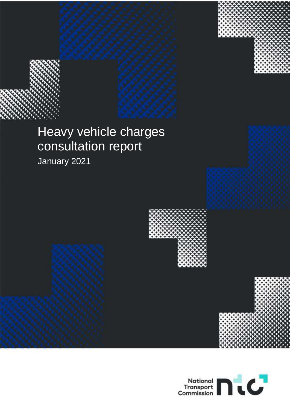# Heavy vehicle charges consultation report

January 2021



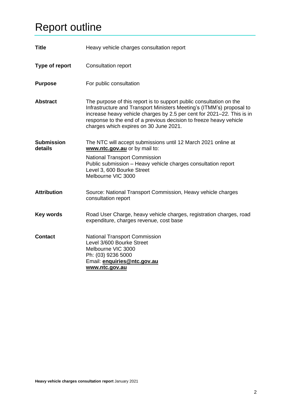## <span id="page-1-0"></span>Report outline

| <b>Title</b>                 | Heavy vehicle charges consultation report                                                                                                                                                                                                                                                                                              |  |  |
|------------------------------|----------------------------------------------------------------------------------------------------------------------------------------------------------------------------------------------------------------------------------------------------------------------------------------------------------------------------------------|--|--|
| Type of report               | <b>Consultation report</b>                                                                                                                                                                                                                                                                                                             |  |  |
| <b>Purpose</b>               | For public consultation                                                                                                                                                                                                                                                                                                                |  |  |
| <b>Abstract</b>              | The purpose of this report is to support public consultation on the<br>Infrastructure and Transport Ministers Meeting's (ITMM's) proposal to<br>increase heavy vehicle charges by 2.5 per cent for 2021–22. This is in<br>response to the end of a previous decision to freeze heavy vehicle<br>charges which expires on 30 June 2021. |  |  |
| <b>Submission</b><br>details | The NTC will accept submissions until 12 March 2021 online at<br>www.ntc.gov.au or by mail to:<br>National Transport Commission<br>Public submission - Heavy vehicle charges consultation report<br>Level 3, 600 Bourke Street<br>Melbourne VIC 3000                                                                                   |  |  |
| <b>Attribution</b>           | Source: National Transport Commission, Heavy vehicle charges<br>consultation report                                                                                                                                                                                                                                                    |  |  |
| <b>Key words</b>             | Road User Charge, heavy vehicle charges, registration charges, road<br>expenditure, charges revenue, cost base                                                                                                                                                                                                                         |  |  |
| <b>Contact</b>               | <b>National Transport Commission</b><br>Level 3/600 Bourke Street<br>Melbourne VIC 3000<br>Ph: (03) 9236 5000<br>Email: enquiries@ntc.gov.au<br>www.ntc.gov.au                                                                                                                                                                         |  |  |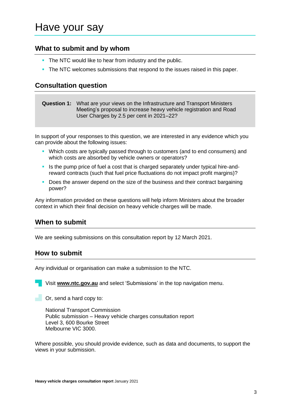## <span id="page-2-0"></span>Have your say

### **What to submit and by whom**

- **The NTC would like to hear from industry and the public.**
- The NTC welcomes submissions that respond to the issues raised in this paper.

### **Consultation question**

**Question 1:** What are your views on the Infrastructure and Transport Ministers Meeting's proposal to increase heavy vehicle registration and Road User Charges by 2.5 per cent in 2021–22?

In support of your responses to this question, we are interested in any evidence which you can provide about the following issues:

- **•** Which costs are typically passed through to customers (and to end consumers) and which costs are absorbed by vehicle owners or operators?
- Is the pump price of fuel a cost that is charged separately under typical hire-andreward contracts (such that fuel price fluctuations do not impact profit margins)?
- Does the answer depend on the size of the business and their contract bargaining power?

Any information provided on these questions will help inform Ministers about the broader context in which their final decision on heavy vehicle charges will be made.

### **When to submit**

We are seeking submissions on this consultation report by 12 March 2021.

#### **How to submit**

Any individual or organisation can make a submission to the NTC.

Visit **www.ntc.gov.au** and select 'Submissions' in the top navigation menu.

 $\Box$  Or, send a hard copy to:

National Transport Commission Public submission – Heavy vehicle charges consultation report Level 3, 600 Bourke Street Melbourne VIC 3000.

Where possible, you should provide evidence, such as data and documents, to support the views in your submission.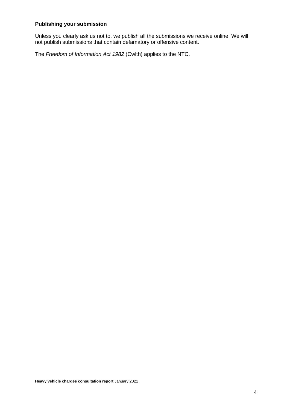#### **Publishing your submission**

Unless you clearly ask us not to, we publish all the submissions we receive online. We will not publish submissions that contain defamatory or offensive content.

The *Freedom of Information Act 1982* (Cwlth) applies to the NTC.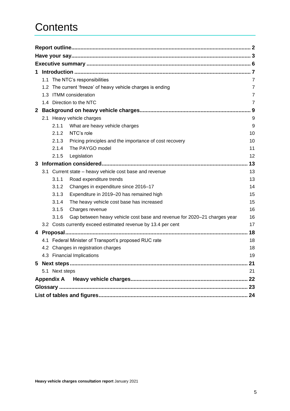## **Contents**

| 1            |               |                |                                                                          |                |
|--------------|---------------|----------------|--------------------------------------------------------------------------|----------------|
|              |               |                | 1.1 The NTC's responsibilities                                           | 7              |
|              | $1.2^{\circ}$ |                | The current 'freeze' of heavy vehicle charges is ending                  | $\overline{7}$ |
|              |               |                | 1.3 ITMM consideration                                                   | $\overline{7}$ |
|              |               |                | 1.4 Direction to the NTC                                                 | 7              |
| $\mathbf{2}$ |               |                |                                                                          | . 9            |
|              |               |                | 2.1 Heavy vehicle charges                                                | 9              |
|              |               | 2.1.1          | What are heavy vehicle charges                                           | 9              |
|              |               | 2.1.2          | NTC's role                                                               | 10             |
|              |               | 2.1.3          | Pricing principles and the importance of cost recovery                   | 10             |
|              |               | 2.1.4          | The PAYGO model                                                          | 11             |
|              |               | 2.1.5          | Legislation                                                              | 12             |
| 3            |               |                |                                                                          | 13             |
|              |               |                | 3.1 Current state - heavy vehicle cost base and revenue                  | 13             |
|              |               | 3.1.1          | Road expenditure trends                                                  | 13             |
|              |               | 3.1.2          | Changes in expenditure since 2016-17                                     | 14             |
|              |               | 3.1.3          | Expenditure in 2019-20 has remained high                                 | 15             |
|              |               | 3.1.4          | The heavy vehicle cost base has increased                                | 15             |
|              |               | 3.1.5          | Charges revenue                                                          | 16             |
|              |               | 3.1.6          | Gap between heavy vehicle cost base and revenue for 2020-21 charges year | 16             |
|              |               |                | 3.2 Costs currently exceed estimated revenue by 13.4 per cent            | 17             |
| 4            |               |                |                                                                          | 18             |
|              |               |                | 4.1 Federal Minister of Transport's proposed RUC rate                    | 18             |
|              |               |                | 4.2 Changes in registration charges                                      | 18             |
|              |               |                | 4.3 Financial Implications                                               | 19             |
|              |               |                |                                                                          |                |
|              |               | 5.1 Next steps |                                                                          | 21             |
|              |               |                |                                                                          |                |
|              |               |                |                                                                          |                |
|              |               |                |                                                                          |                |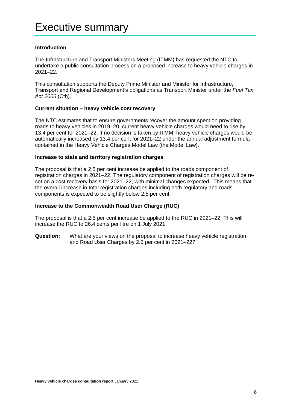#### <span id="page-5-0"></span>**Introduction**

The Infrastructure and Transport Ministers Meeting (ITMM) has requested the NTC to undertake a public consultation process on a proposed increase to heavy vehicle charges in 2021–22.

This consultation supports the Deputy Prime Minister and Minister for Infrastructure, Transport and Regional Development's obligations as Transport Minister under the *Fuel Tax Act 2006* (Cth).

#### **Current situation – heavy vehicle cost recovery**

The NTC estimates that to ensure governments recover the amount spent on providing roads to heavy vehicles in 2019–20, current heavy vehicle charges would need to rise by 13.4 per cent for 2021–22. If no decision is taken by ITMM, heavy vehicle charges would be automatically increased by 13.4 per cent for 2021–22 under the annual adjustment formula contained in the Heavy Vehicle Charges Model Law (the Model Law).

#### **Increase to state and territory registration charges**

The proposal is that a 2.5 per cent increase be applied to the roads component of registration charges in 2021–22. The regulatory component of registration charges will be reset on a cost recovery basis for 2021–22, with minimal changes expected. This means that the overall increase in total registration charges including both regulatory and roads components is expected to be slightly below 2.5 per cent.

#### **Increase to the Commonwealth Road User Charge (RUC)**

The proposal is that a 2.5 per cent increase be applied to the RUC in 2021–22. This will increase the RUC to 26.4 cents per litre on 1 July 2021.

**Question:** What are your views on the proposal to increase heavy vehicle registration and Road User Charges by 2.5 per cent in 2021–22?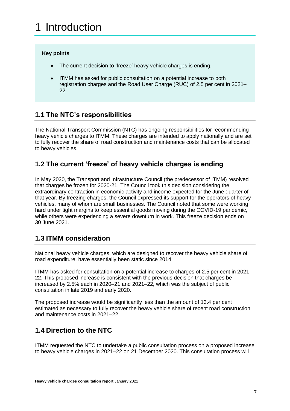#### <span id="page-6-0"></span>**Key points**

- The current decision to 'freeze' heavy vehicle charges is ending.
- ITMM has asked for public consultation on a potential increase to both registration charges and the Road User Charge (RUC) of 2.5 per cent in 2021– 22.

## <span id="page-6-1"></span>**1.1 The NTC's responsibilities**

The National Transport Commission (NTC) has ongoing responsibilities for recommending heavy vehicle charges to ITMM. These charges are intended to apply nationally and are set to fully recover the share of road construction and maintenance costs that can be allocated to heavy vehicles.

## <span id="page-6-2"></span>**1.2 The current 'freeze' of heavy vehicle charges is ending**

In May 2020, the Transport and Infrastructure Council (the predecessor of ITMM) resolved that charges be frozen for 2020-21. The Council took this decision considering the extraordinary contraction in economic activity and income expected for the June quarter of that year. By freezing charges, the Council expressed its support for the operators of heavy vehicles, many of whom are small businesses. The Council noted that some were working hard under tight margins to keep essential goods moving during the COVID-19 pandemic, while others were experiencing a severe downturn in work. This freeze decision ends on 30 June 2021.

## <span id="page-6-3"></span>**1.3 ITMM consideration**

National heavy vehicle charges, which are designed to recover the heavy vehicle share of road expenditure, have essentially been static since 2014.

ITMM has asked for consultation on a potential increase to charges of 2.5 per cent in 2021– 22. This proposed increase is consistent with the previous decision that charges be increased by 2.5% each in 2020–21 and 2021–22, which was the subject of public consultation in late 2019 and early 2020.

The proposed increase would be significantly less than the amount of 13.4 per cent estimated as necessary to fully recover the heavy vehicle share of recent road construction and maintenance costs in 2021–22.

## <span id="page-6-4"></span>**1.4 Direction to the NTC**

ITMM requested the NTC to undertake a public consultation process on a proposed increase to heavy vehicle charges in 2021–22 on 21 December 2020. This consultation process will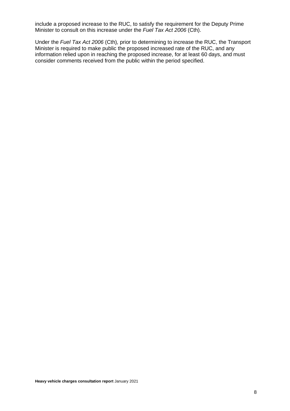include a proposed increase to the RUC, to satisfy the requirement for the Deputy Prime Minister to consult on this increase under the *Fuel Tax Act 2006* (Cth).

Under the *Fuel Tax Act 2006* (Cth)*,* prior to determining to increase the RUC, the Transport Minister is required to make public the proposed increased rate of the RUC, and any information relied upon in reaching the proposed increase, for at least 60 days, and must consider comments received from the public within the period specified.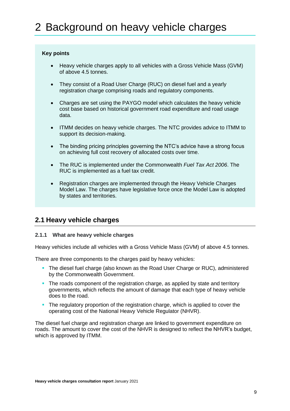#### <span id="page-8-0"></span>**Key points**

- Heavy vehicle charges apply to all vehicles with a Gross Vehicle Mass (GVM) of above 4.5 tonnes.
- They consist of a Road User Charge (RUC) on diesel fuel and a yearly registration charge comprising roads and regulatory components.
- Charges are set using the PAYGO model which calculates the heavy vehicle cost base based on historical government road expenditure and road usage data.
- ITMM decides on heavy vehicle charges. The NTC provides advice to ITMM to support its decision-making.
- The binding pricing principles governing the NTC's advice have a strong focus on achieving full cost recovery of allocated costs over time.
- The RUC is implemented under the Commonwealth *Fuel Tax Act 2006*. The RUC is implemented as a fuel tax credit.
- Registration charges are implemented through the Heavy Vehicle Charges Model Law. The charges have legislative force once the Model Law is adopted by states and territories.

## <span id="page-8-1"></span>**2.1 Heavy vehicle charges**

#### <span id="page-8-2"></span>**2.1.1 What are heavy vehicle charges**

Heavy vehicles include all vehicles with a Gross Vehicle Mass (GVM) of above 4.5 tonnes.

There are three components to the charges paid by heavy vehicles:

- **The diesel fuel charge (also known as the Road User Charge or RUC), administered** by the Commonwealth Government.
- **The roads component of the registration charge, as applied by state and territory** governments, which reflects the amount of damage that each type of heavy vehicle does to the road.
- The regulatory proportion of the registration charge, which is applied to cover the operating cost of the National Heavy Vehicle Regulator (NHVR).

The diesel fuel charge and registration charge are linked to government expenditure on roads. The amount to cover the cost of the NHVR is designed to reflect the NHVR's budget, which is approved by ITMM.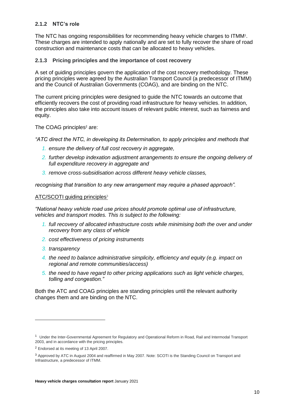#### <span id="page-9-0"></span>**2.1.2 NTC's role**

The NTC has ongoing responsibilities for recommending heavy vehicle charges to ITMM<sup>1</sup>. These charges are intended to apply nationally and are set to fully recover the share of road construction and maintenance costs that can be allocated to heavy vehicles.

#### <span id="page-9-1"></span>**2.1.3 Pricing principles and the importance of cost recovery**

A set of guiding principles govern the application of the cost recovery methodology. These pricing principles were agreed by the Australian Transport Council (a predecessor of ITMM) and the Council of Australian Governments (COAG), and are binding on the NTC.

The current pricing principles were designed to guide the NTC towards an outcome that efficiently recovers the cost of providing road infrastructure for heavy vehicles. In addition, the principles also take into account issues of relevant public interest, such as fairness and equity.

The COAG principles**<sup>2</sup>** are:

*"ATC direct the NTC, in developing its Determination, to apply principles and methods that* 

- *1. ensure the delivery of full cost recovery in aggregate,*
- *2. further develop indexation adjustment arrangements to ensure the ongoing delivery of full expenditure recovery in aggregate and*
- *3. remove cross-subsidisation across different heavy vehicle classes,*

*recognising that transition to any new arrangement may require a phased approach".*

#### ATC/SCOTI guiding principles<sup>3</sup>

*"National heavy vehicle road use prices should promote optimal use of infrastructure, vehicles and transport modes. This is subject to the following:*

- *1. full recovery of allocated infrastructure costs while minimising both the over and under recovery from any class of vehicle*
- *2. cost effectiveness of pricing instruments*
- *3. transparency*
- *4. the need to balance administrative simplicity, efficiency and equity (e.g. impact on regional and remote communities/access)*
- *5. the need to have regard to other pricing applications such as light vehicle charges, tolling and congestion."*

Both the ATC and COAG principles are standing principles until the relevant authority changes them and are binding on the NTC.

<sup>&</sup>lt;sup>1</sup> Under th[e Inter-Governmental Agreement for Regulatory and Operational Reform in Road, Rail and Intermodal Transport](http://www.ntc.gov.au/Media/Reports/%280AAD626F-5961-0DFA-6508-258B5697EBBD%29.pdf) 2003, and in accordance with the pricing principles.

<sup>2</sup> Endorsed at its meeting of 13 April 2007.

<sup>3</sup> Approved by ATC in August 2004 and reaffirmed in May 2007. Note: SCOTI is the Standing Council on Transport and Infrastructure, a predecessor of ITMM.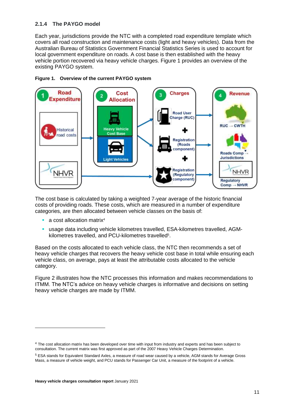#### <span id="page-10-0"></span>**2.1.4 The PAYGO model**

Each year, jurisdictions provide the NTC with a completed road expenditure template which covers all road construction and maintenance costs (light and heavy vehicles). Data from the Australian Bureau of Statistics Government Financial Statistics Series is used to account for local government expenditure on roads. A cost base is then established with the heavy vehicle portion recovered via heavy vehicle charges. Figure 1 provides an overview of the existing PAYGO system.





The cost base is calculated by taking a weighted 7-year average of the historic financial costs of providing roads. These costs, which are measured in a number of expenditure categories, are then allocated between vehicle classes on the basis of:

- a cost allocation matrix<sup>4</sup>
- usage data including vehicle kilometres travelled, ESA-kilometres travelled, AGMkilometres travelled, and PCU-kilometres travelled<sup>5</sup>.

Based on the costs allocated to each vehicle class, the NTC then recommends a set of heavy vehicle charges that recovers the heavy vehicle cost base in total while ensuring each vehicle class, on average, pays at least the attributable costs allocated to the vehicle category.

Figure 2 illustrates how the NTC processes this information and makes recommendations to ITMM. The NTC's advice on heavy vehicle charges is informative and decisions on setting heavy vehicle charges are made by ITMM.

<sup>&</sup>lt;sup>4</sup> The cost allocation matrix has been developed over time with input from industry and experts and has been subject to consultation. The current matrix was first approved as part of the 2007 Heavy Vehicle Charges Determination.

<sup>5</sup> ESA stands for Equivalent Standard Axles, a measure of road wear caused by a vehicle, AGM stands for Average Gross Mass, a measure of vehicle weight, and PCU stands for Passenger Car Unit, a measure of the footprint of a vehicle.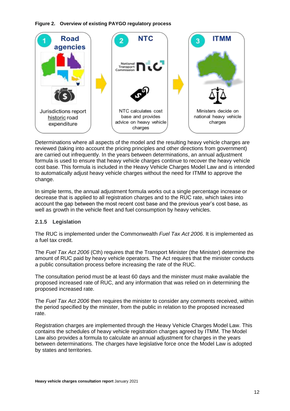**Figure 2. Overview of existing PAYGO regulatory process**



Determinations where all aspects of the model and the resulting heavy vehicle charges are reviewed (taking into account the pricing principles and other directions from government) are carried out infrequently. In the years between determinations, an annual adjustment formula is used to ensure that heavy vehicle charges continue to recover the heavy vehicle cost base. This formula is included in the Heavy Vehicle Charges Model Law and is intended to automatically adjust heavy vehicle charges without the need for ITMM to approve the change.

In simple terms, the annual adjustment formula works out a single percentage increase or decrease that is applied to all registration charges and to the RUC rate, which takes into account the gap between the most recent cost base and the previous year's cost base, as well as growth in the vehicle fleet and fuel consumption by heavy vehicles.

#### <span id="page-11-0"></span>**2.1.5 Legislation**

The RUC is implemented under the Commonwealth *Fuel Tax Act 2006*. It is implemented as a fuel tax credit.

The *Fuel Tax Act 2006* (Cth) requires that the Transport Minister (the Minister) determine the amount of RUC paid by heavy vehicle operators. The Act requires that the minister conducts a public consultation process before increasing the rate of the RUC.

The consultation period must be at least 60 days and the minister must make available the proposed increased rate of RUC, and any information that was relied on in determining the proposed increased rate.

The *Fuel Tax Act 2006* then requires the minister to consider any comments received, within the period specified by the minister, from the public in relation to the proposed increased rate.

Registration charges are implemented through the Heavy Vehicle Charges Model Law. This contains the schedules of heavy vehicle registration charges agreed by ITMM. The Model Law also provides a formula to calculate an annual adjustment for charges in the years between determinations. The charges have legislative force once the Model Law is adopted by states and territories.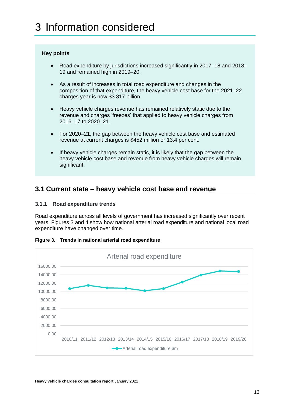#### <span id="page-12-0"></span>**Key points**

- Road expenditure by jurisdictions increased significantly in 2017–18 and 2018– 19 and remained high in 2019–20.
- As a result of increases in total road expenditure and changes in the composition of that expenditure, the heavy vehicle cost base for the 2021–22 charges year is now \$3.817 billion.
- Heavy vehicle charges revenue has remained relatively static due to the revenue and charges 'freezes' that applied to heavy vehicle charges from 2016–17 to 2020–21.
- For 2020–21, the gap between the heavy vehicle cost base and estimated revenue at current charges is \$452 million or 13.4 per cent.
- If heavy vehicle charges remain static, it is likely that the gap between the heavy vehicle cost base and revenue from heavy vehicle charges will remain significant.

### <span id="page-12-1"></span>**3.1 Current state – heavy vehicle cost base and revenue**

#### <span id="page-12-2"></span>**3.1.1 Road expenditure trends**

Road expenditure across all levels of government has increased significantly over recent years. Figures 3 and 4 show how national arterial road expenditure and national local road expenditure have changed over time.



**Figure 3. Trends in national arterial road expenditure**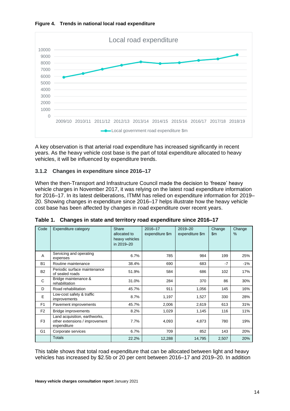



A key observation is that arterial road expenditure has increased significantly in recent years. As the heavy vehicle cost base is the part of total expenditure allocated to heavy vehicles, it will be influenced by expenditure trends.

#### <span id="page-13-0"></span>**3.1.2 Changes in expenditure since 2016–17**

When the then-Transport and Infrastructure Council made the decision to 'freeze' heavy vehicle charges in November 2017, it was relying on the latest road expenditure information for 2016–17. In its latest deliberations, ITMM has relied on expenditure information for 2019– 20. Showing changes in expenditure since 2016–17 helps illustrate how the heavy vehicle cost base has been affected by changes in road expenditure over recent years.

| Code           | <b>Expenditure category</b>                                                    | Share<br>allocated to<br>heavy vehicles<br>in 2019-20 | 2016-17<br>expenditure \$m | 2019-20<br>expenditure \$m | Change<br>$\mathsf{Sm}$ | Change<br>$\%$ |
|----------------|--------------------------------------------------------------------------------|-------------------------------------------------------|----------------------------|----------------------------|-------------------------|----------------|
| A              | Servicing and operating<br>expenses                                            | 6.7%                                                  | 785                        | 984                        | 199                     | 25%            |
| <b>B1</b>      | Routine maintenance                                                            | 38.4%                                                 | 690                        | 683                        | $-7$                    | -1%            |
| <b>B2</b>      | Periodic surface maintenance<br>of sealed roads                                | 51.9%                                                 | 584                        | 686                        | 102                     | 17%            |
| C              | Bridge maintenance &<br>rehabilitation                                         | 31.0%                                                 | 284                        | 370                        | 86                      | 30%            |
| D              | Road rehabilitation                                                            | 45.7%                                                 | 911                        | 1,056                      | 145                     | 16%            |
| E              | Low-cost safety & traffic<br>improvements                                      | 8.7%                                                  | 1,197                      | 1,527                      | 330                     | 28%            |
| F <sub>1</sub> | Pavement improvements                                                          | 45.7%                                                 | 2,006                      | 2,619                      | 613                     | 31%            |
| F <sub>2</sub> | Bridge improvements                                                            | 8.2%                                                  | 1,029                      | 1,145                      | 116                     | 11%            |
| F <sub>3</sub> | Land acquisition, earthworks,<br>other extensions / improvement<br>expenditure | 7.7%                                                  | 4,093                      | 4,873                      | 780                     | 19%            |
| G <sub>1</sub> | Corporate services                                                             | 6.7%                                                  | 709                        | 852                        | 143                     | 20%            |
|                | <b>Totals</b>                                                                  | 22.2%                                                 | 12,288                     | 14,795                     | 2,507                   | 20%            |

**Table 1. Changes in state and territory road expenditure since 2016–17**

This table shows that total road expenditure that can be allocated between light and heavy vehicles has increased by \$2.5b or 20 per cent between 2016–17 and 2019–20. In addition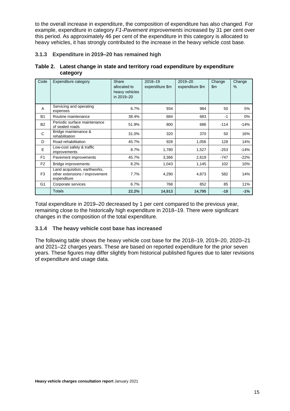to the overall increase in expenditure, the composition of expenditure has also changed. For example, expenditure in category *F1-Pavement improvements* increased by 31 per cent over this period. As approximately 46 per cent of the expenditure in this category is allocated to heavy vehicles, it has strongly contributed to the increase in the heavy vehicle cost base.

#### <span id="page-14-0"></span>**3.1.3 Expenditure in 2019–20 has remained high**

| Table 2. Latest change in state and territory road expenditure by expenditure |
|-------------------------------------------------------------------------------|
| category                                                                      |

| Code           | <b>Expenditure category</b>                                                    | Share<br>allocated to<br>heavy vehicles<br>in 2019-20 | 2018-19<br>expenditure \$m | 2019-20<br>expenditure \$m | Change<br>$\mathsf{Sm}$ | Change<br>% |
|----------------|--------------------------------------------------------------------------------|-------------------------------------------------------|----------------------------|----------------------------|-------------------------|-------------|
| A              | Servicing and operating<br>expenses                                            | 6.7%                                                  | 934                        | 984                        | 50                      | 5%          |
| <b>B1</b>      | Routine maintenance                                                            | 38.4%                                                 | 684                        | 683                        | $-1$                    | 0%          |
| <b>B2</b>      | Periodic surface maintenance<br>of sealed roads                                | 51.9%                                                 | 800                        | 686                        | $-114$                  | $-14%$      |
| C              | Bridge maintenance &<br>rehabilitation                                         | 31.0%                                                 | 320                        | 370                        | 50                      | 16%         |
| D              | Road rehabilitation                                                            | 45.7%                                                 | 928                        | 1,056                      | 128                     | 14%         |
| E              | Low-cost safety & traffic<br>improvements                                      | 8.7%                                                  | 1,780                      | 1,527                      | $-253$                  | $-14%$      |
| F <sub>1</sub> | Pavement improvements                                                          | 45.7%                                                 | 3,366                      | 2,619                      | $-747$                  | $-22%$      |
| F <sub>2</sub> | Bridge improvements                                                            | 8.2%                                                  | 1,043                      | 1,145                      | 102                     | 10%         |
| F <sub>3</sub> | Land acquisition, earthworks,<br>other extensions / improvement<br>expenditure | 7.7%                                                  | 4,290                      | 4,873                      | 582                     | 14%         |
| G <sub>1</sub> | Corporate services                                                             | 6.7%                                                  | 768                        | 852                        | 85                      | 11%         |
|                | <b>Totals</b>                                                                  | 22.2%                                                 | 14,913                     | 14,795                     | $-18$                   | $-1%$       |

Total expenditure in 2019–20 decreased by 1 per cent compared to the previous year, remaining close to the historically high expenditure in 2018–19. There were significant changes in the composition of the total expenditure.

#### <span id="page-14-1"></span>**3.1.4 The heavy vehicle cost base has increased**

The following table shows the heavy vehicle cost base for the 2018–19, 2019–20, 2020–21 and 2021–22 charges years. These are based on reported expenditure for the prior seven years. These figures may differ slightly from historical published figures due to later revisions of expenditure and usage data.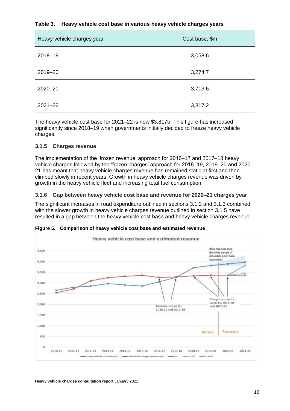#### **Table 3. Heavy vehicle cost base in various heavy vehicle charges years**

| Heavy vehicle charges year | Cost base, \$m |
|----------------------------|----------------|
| 2018-19                    | 3,058.6        |
| 2019-20                    | 3,274.7        |
| $2020 - 21$                | 3,713.6        |
| $2021 - 22$                | 3,817.2        |

The heavy vehicle cost base for 2021–22 is now \$3.817b. This figure has increased significantly since 2018–19 when governments initially decided to freeze heavy vehicle charges.

#### <span id="page-15-0"></span>**3.1.5 Charges revenue**

The implementation of the 'frozen revenue' approach for 2016–17 and 2017–18 heavy vehicle charges followed by the 'frozen charges' approach for 2018–19, 2019–20 and 2020– 21 has meant that heavy vehicle charges revenue has remained static at first and then climbed slowly in recent years. Growth in heavy vehicle charges revenue was driven by growth in the heavy vehicle fleet and increasing total fuel consumption.

#### <span id="page-15-1"></span>**3.1.6 Gap between heavy vehicle cost base and revenue for 2020–21 charges year**

The significant increases in road expenditure outlined in sections 3.1.2 and 3.1.3 combined with the slower growth in heavy vehicle charges revenue outlined in section 3.1.5 have resulted in a gap between the heavy vehicle cost base and heavy vehicle charges revenue.



**Figure 5. Comparison of heavy vehicle cost base and estimated revenue**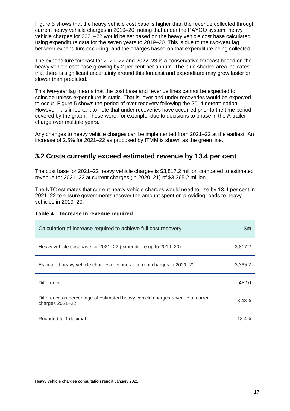Figure 5 shows that the heavy vehicle cost base is higher than the revenue collected through current heavy vehicle charges in 2019–20, noting that under the PAYGO system, heavy vehicle charges for 2021–22 would be set based on the heavy vehicle cost base calculated using expenditure data for the seven years to 2019–20. This is due to the two-year lag between expenditure occurring, and the charges based on that expenditure being collected.

The expenditure forecast for 2021–22 and 2022–23 is a conservative forecast based on the heavy vehicle cost base growing by 2 per cent per annum. The blue shaded area indicates that there is significant uncertainty around this forecast and expenditure may grow faster or slower than predicted.

This two-year lag means that the cost base and revenue lines cannot be expected to coincide unless expenditure is static. That is, over and under recoveries would be expected to occur. Figure 5 shows the period of over recovery following the 2014 determination. However, it is important to note that under recoveries have occurred prior to the time period covered by the graph. These were, for example, due to decisions to phase in the A-trailer charge over multiple years.

Any changes to heavy vehicle charges can be implemented from 2021–22 at the earliest. An increase of 2.5% for 2021–22 as proposed by ITMM is shown as the green line.

## <span id="page-16-0"></span>**3.2 Costs currently exceed estimated revenue by 13.4 per cent**

The cost base for 2021–22 heavy vehicle charges is \$3,817.2 million compared to estimated revenue for 2021–22 at current charges (in 2020–21) of \$3,365.2 million.

The NTC estimates that current heavy vehicle charges would need to rise by 13.4 per cent in 2021–22 to ensure governments recover the amount spent on providing roads to heavy vehicles in 2019–20.

#### **Table 4. Increase in revenue required**

| Calculation of increase required to achieve full cost recovery                                        | \$m     |
|-------------------------------------------------------------------------------------------------------|---------|
| Heavy vehicle cost base for 2021–22 (expenditure up to 2019–20)                                       | 3,817.2 |
| Estimated heavy vehicle charges revenue at current charges in 2021–22                                 | 3,365.2 |
| <b>Difference</b>                                                                                     | 452.0   |
| Difference as percentage of estimated heavy vehicle charges revenue at current<br>charges $2021 - 22$ | 13.43%  |
| Rounded to 1 decimal                                                                                  | 13.4%   |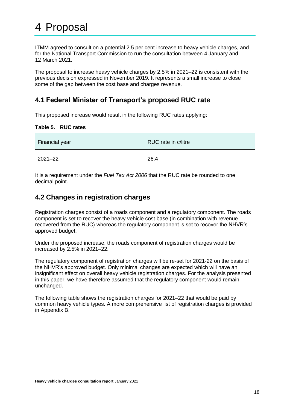<span id="page-17-0"></span>ITMM agreed to consult on a potential 2.5 per cent increase to heavy vehicle charges, and for the National Transport Commission to run the consultation between 4 January and 12 March 2021.

The proposal to increase heavy vehicle charges by 2.5% in 2021–22 is consistent with the previous decision expressed in November 2019. It represents a small increase to close some of the gap between the cost base and charges revenue.

### <span id="page-17-1"></span>**4.1 Federal Minister of Transport's proposed RUC rate**

This proposed increase would result in the following RUC rates applying:

| Table 5. | <b>RUC rates</b> |
|----------|------------------|
|----------|------------------|

| Financial year | RUC rate in c/litre |
|----------------|---------------------|
| $2021 - 22$    | 26.4                |

It is a requirement under the *Fuel Tax Act 2006* that the RUC rate be rounded to one decimal point.

### <span id="page-17-2"></span>**4.2 Changes in registration charges**

Registration charges consist of a roads component and a regulatory component. The roads component is set to recover the heavy vehicle cost base (in combination with revenue recovered from the RUC) whereas the regulatory component is set to recover the NHVR's approved budget.

Under the proposed increase, the roads component of registration charges would be increased by 2.5% in 2021–22.

The regulatory component of registration charges will be re-set for 2021-22 on the basis of the NHVR's approved budget. Only minimal changes are expected which will have an insignificant effect on overall heavy vehicle registration charges. For the analysis presented in this paper, we have therefore assumed that the regulatory component would remain unchanged.

The following table shows the registration charges for 2021–22 that would be paid by common heavy vehicle types. A more comprehensive list of registration charges is provided in Appendix B.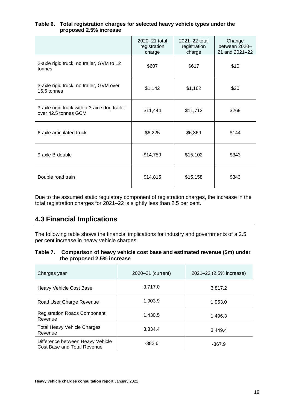#### **Table 6. Total registration charges for selected heavy vehicle types under the proposed 2.5% increase**

|                                                                      | 2020-21 total<br>registration<br>charge | 2021-22 total<br>registration<br>charge | Change<br>between 2020-<br>21 and 2021-22 |
|----------------------------------------------------------------------|-----------------------------------------|-----------------------------------------|-------------------------------------------|
| 2-axle rigid truck, no trailer, GVM to 12<br>tonnes                  | \$607                                   | \$617                                   | \$10                                      |
| 3-axle rigid truck, no trailer, GVM over<br>16.5 tonnes              | \$1,142                                 | \$1,162                                 | \$20                                      |
| 3-axle rigid truck with a 3-axle dog trailer<br>over 42.5 tonnes GCM | \$11,444                                | \$11,713                                | \$269                                     |
| 6-axle articulated truck                                             | \$6,225                                 | \$6,369                                 | \$144                                     |
| 9-axle B-double                                                      | \$14,759                                | \$15,102                                | \$343                                     |
| Double road train                                                    | \$14,815                                | \$15,158                                | \$343                                     |

Due to the assumed static regulatory component of registration charges, the increase in the total registration charges for 2021–22 is slightly less than 2.5 per cent.

## <span id="page-18-0"></span>**4.3 Financial Implications**

The following table shows the financial implications for industry and governments of a 2.5 per cent increase in heavy vehicle charges.

| Table 7. Comparison of heavy vehicle cost base and estimated revenue (\$m) under |
|----------------------------------------------------------------------------------|
| the proposed 2.5% increase                                                       |

| Charges year                                                    | 2020-21 (current) | 2021-22 (2.5% increase) |
|-----------------------------------------------------------------|-------------------|-------------------------|
| <b>Heavy Vehicle Cost Base</b>                                  | 3,717.0           | 3,817.2                 |
| Road User Charge Revenue                                        | 1,903.9           | 1,953.0                 |
| <b>Registration Roads Component</b><br>Revenue                  | 1,430.5           | 1,496.3                 |
| <b>Total Heavy Vehicle Charges</b><br>Revenue                   | 3,334.4           | 3.449.4                 |
| Difference between Heavy Vehicle<br>Cost Base and Total Revenue | $-382.6$          | $-367.9$                |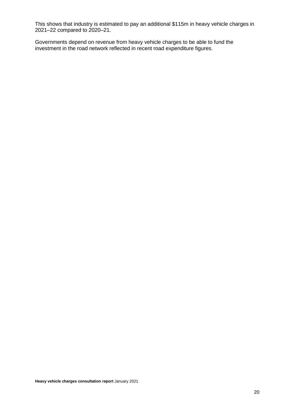This shows that industry is estimated to pay an additional \$115m in heavy vehicle charges in 2021–22 compared to 2020–21.

Governments depend on revenue from heavy vehicle charges to be able to fund the investment in the road network reflected in recent road expenditure figures.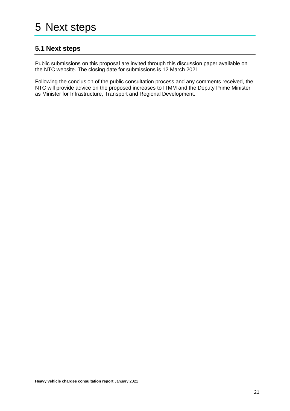## <span id="page-20-1"></span><span id="page-20-0"></span>**5.1 Next steps**

Public submissions on this proposal are invited through this discussion paper available on the NTC website. The closing date for submissions is 12 March 2021

Following the conclusion of the public consultation process and any comments received, the NTC will provide advice on the proposed increases to ITMM and the Deputy Prime Minister as Minister for Infrastructure, Transport and Regional Development.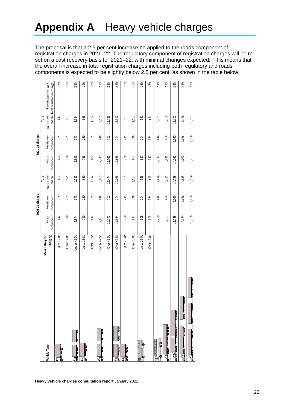## <span id="page-21-0"></span>**Appendix A** Heavy vehicle charges

The proposal is that a 2.5 per cent increase be applied to the roads component of registration charges in 2021–22. The regulatory component of registration charges will be reset on a cost recovery basis for 2021–22, with minimal changes expected. This means that the overall increase in total registration charges including both regulatory and roads components is expected to be slightly below 2.5 per cent, as shown in the table below.

|                                           |                        |           | 2020-21 charges         |                        |                    | 2021-22 charges         |              |                                                           |
|-------------------------------------------|------------------------|-----------|-------------------------|------------------------|--------------------|-------------------------|--------------|-----------------------------------------------------------|
|                                           | <b>Mass Rating for</b> | Roads     |                         | Total                  |                    |                         | Total        |                                                           |
| Vehicle Type                              | Charging               | component | Regulatory<br>component | charge<br>registration | Roads<br>component | Regulatory<br>component | registration | Percentage change in<br>charge total registration charges |
| þ<br>16<br>ਰੋ                             | Up to 12.0t            | 412       | 195                     | 607                    | 422                | 195                     | 617          | 1.7%                                                      |
|                                           | Over 12.0t             | 720       | 255                     | 975                    | 738                | 255                     | 993          | 1.8%                                                      |
| u                                         | Under 42.5t            | 1,944     | 341                     | 2,285                  | 1,993              | 341                     | 2,334        | 2.1%                                                      |
| <b>PORT</b><br>ď                          | Up to 16.5t            | 720       | 230                     | 950                    | 738                | 230                     | 968          | 1.9%                                                      |
|                                           | Over 16.5t             | 817       | 325                     | 1,142                  | 837                | 325                     | 1,162        | 1.8%                                                      |
| ū                                         | Under 42.5t            | 2,653     | 416                     | 3,069                  | 2,719              | 416                     | 3,135        | 2.2%                                                      |
|                                           | Over 42.5t             | 10,742    | 702                     | 11,444                 | 11,011             | 702                     | 11,713       | 2.3%                                                      |
| $\frac{80}{100}$<br><b>Pool</b><br>1<br>€ | Over 42.5t             | 11,354    | 704                     | 12,058                 | 11,638             | 704                     | 12,342       | 2.4%                                                      |
| <b>P</b><br>R<br>花                        | Up to 20.0t            | 720       | 245                     | 965                    | 738                | 245                     | 983          | 1.9%                                                      |
|                                           | Over 20.0t             | 817       | 346                     | 1,163                  | 837                | 346                     | 1,183        | 1.8%                                                      |
| l<br>0<br>Į<br>F<br>e                     | Up to 12.0t            | 309       | 204                     | 513                    | 317                | 204                     | 521          | 1.5%                                                      |
|                                           | Over 12.0t             | 309       | 334                     | 643                    | 317                | 334                     | 651          | 1.2%                                                      |
| $\bullet$<br>¢                            |                        | 2,260     | 414                     | 2,674                  | 2,317              | 414                     | 2,731        | 2.1%                                                      |
| poo<br>635                                |                        | 5,767     | 458                     | 6,225                  | 5,911              | 458                     | 6,369        | 2.3%                                                      |
| 00000000<br>$\frac{1}{2}$                 |                        | 13,739    | 1,020                   | 14,759                 | 14,082             | 1,020                   | 15,102       | 2.3%                                                      |
| Þ<br>poo<br>è                             |                        | 13,739    | 1,076                   | 14,815                 | 14,082             | 1,076                   | 15,158       | 2.3%                                                      |
| B                                         |                        | 15,398    | 1,186                   | 16,584                 | 15,783             | 1,186                   | 16,969       | 2.3%                                                      |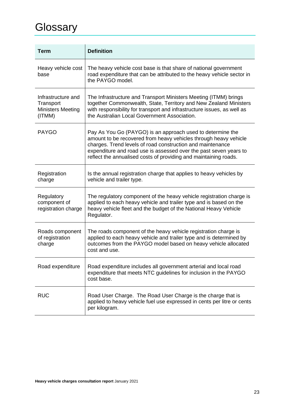## <span id="page-22-0"></span>**Glossary**

| Term                                                                  | <b>Definition</b>                                                                                                                                                                                                                                                                                                                     |
|-----------------------------------------------------------------------|---------------------------------------------------------------------------------------------------------------------------------------------------------------------------------------------------------------------------------------------------------------------------------------------------------------------------------------|
| Heavy vehicle cost<br>base                                            | The heavy vehicle cost base is that share of national government<br>road expenditure that can be attributed to the heavy vehicle sector in<br>the PAYGO model.                                                                                                                                                                        |
| Infrastructure and<br>Transport<br><b>Ministers Meeting</b><br>(ITMM) | The Infrastructure and Transport Ministers Meeting (ITMM) brings<br>together Commonwealth, State, Territory and New Zealand Ministers<br>with responsibility for transport and infrastructure issues, as well as<br>the Australian Local Government Association.                                                                      |
| <b>PAYGO</b>                                                          | Pay As You Go (PAYGO) is an approach used to determine the<br>amount to be recovered from heavy vehicles through heavy vehicle<br>charges. Trend levels of road construction and maintenance<br>expenditure and road use is assessed over the past seven years to<br>reflect the annualised costs of providing and maintaining roads. |
| Registration<br>charge                                                | Is the annual registration charge that applies to heavy vehicles by<br>vehicle and trailer type.                                                                                                                                                                                                                                      |
| Regulatory<br>component of<br>registration charge                     | The regulatory component of the heavy vehicle registration charge is<br>applied to each heavy vehicle and trailer type and is based on the<br>heavy vehicle fleet and the budget of the National Heavy Vehicle<br>Regulator.                                                                                                          |
| Roads component<br>of registration<br>charge                          | The roads component of the heavy vehicle registration charge is<br>applied to each heavy vehicle and trailer type and is determined by<br>outcomes from the PAYGO model based on heavy vehicle allocated<br>cost and use.                                                                                                             |
| Road expenditure                                                      | Road expenditure includes all government arterial and local road<br>expenditure that meets NTC guidelines for inclusion in the PAYGO<br>cost base.                                                                                                                                                                                    |
| <b>RUC</b>                                                            | Road User Charge. The Road User Charge is the charge that is<br>applied to heavy vehicle fuel use expressed in cents per litre or cents<br>per kilogram.                                                                                                                                                                              |